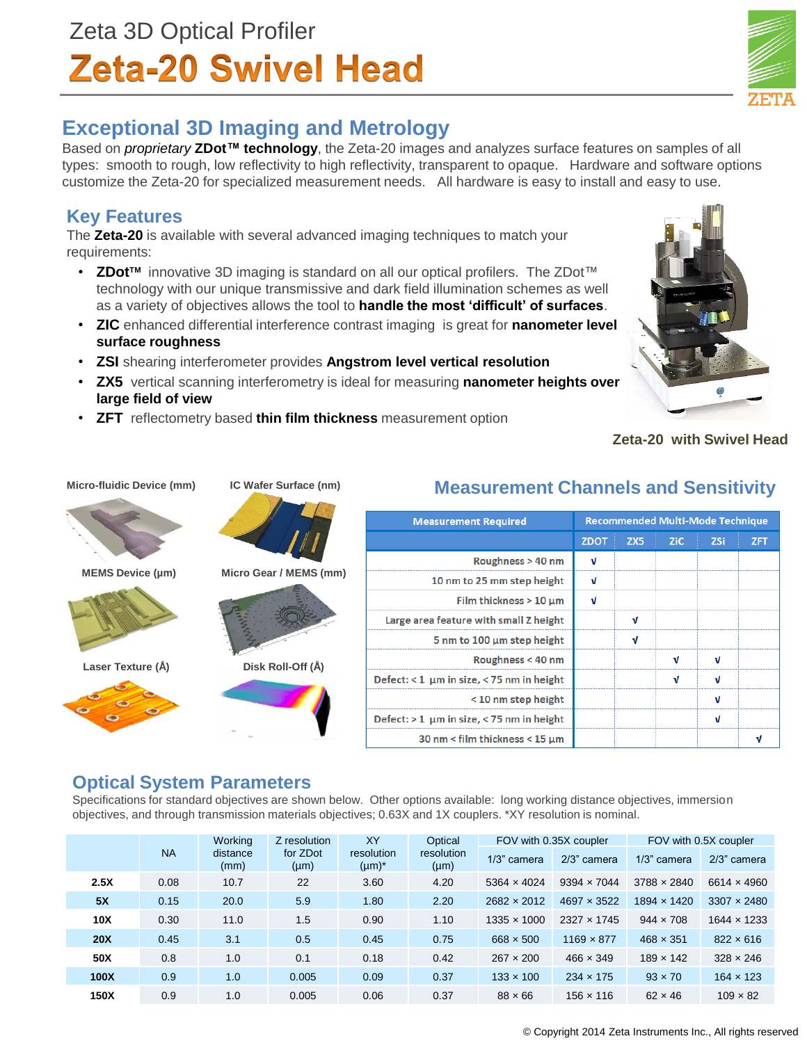# Zeta 3D Optical Profiler **Zeta-20 Swivel Head**

# **Exceptional 3D Imaging and Metrology**

Based on *proprietary* **ZDot™ technology**, the Zeta-20 images and analyzes surface features on samples of all types: smooth to rough, low reflectivity to high reflectivity, transparent to opaque. Hardware and software options customize the Zeta-20 for specialized measurement needs. All hardware is easy to install and easy to use.

## **Key Features**

The **Zeta-20** is available with several advanced imaging techniques to match your requirements:

- **ZDotTM** innovative 3D imaging is standard on all our optical profilers. The ZDot™ technology with our unique transmissive and dark field illumination schemes as well as a variety of objectives allows the tool to **handle the most 'difficult' of surfaces**.
- **ZIC** enhanced differential interference contrast imaging is great for **nanometer level surface roughness**
- **ZSI** shearing interferometer provides **Angstrom level vertical resolution**
- **ZX5** vertical scanning interferometry is ideal for measuring **nanometer heights over large field of view**
- **ZFT** reflectometry based **thin film thickness** measurement option

## **Zeta-20 with Swivel Head**

**Micro-fluidic Device (mm)**











| <b>Measurement Required</b>                | <b>Recommended Multi-Mode Technique</b> |     |     |            |            |
|--------------------------------------------|-----------------------------------------|-----|-----|------------|------------|
|                                            | <b>ZDOT</b>                             | ZX5 | ZiC | <b>ZSi</b> | <b>ZFT</b> |
| Roughness > 40 nm                          | v                                       |     |     |            |            |
| 10 nm to 25 mm step height                 | ν                                       |     |     |            |            |
| Film thickness $>10 \mu m$                 | J                                       |     |     |            |            |
| Large area feature with small Z height     |                                         | M   |     |            |            |
| 5 nm to 100 µm step height                 |                                         | M   |     |            |            |
| Roughness $<$ 40 nm                        |                                         |     |     |            |            |
| Defect: < 1 um in size, < 75 nm in height  |                                         |     |     |            |            |
| $<$ 10 nm step height                      |                                         |     |     |            |            |
| Defect: $>1$ µm in size, < 75 nm in height |                                         |     |     |            |            |
| 30 nm < film thickness < 15 µm             |                                         |     |     |            |            |

# **Measurement Channels and Sensitivity**

## **Optical System Parameters**

Specifications for standard objectives are shown below. Other options available: long working distance objectives, immersion objectives, and through transmission materials objectives; 0.63X and 1X couplers. \*XY resolution is nominal.

|                 | <b>NA</b> | Working<br>distance<br>(mm) | Z resolution<br>for ZDot<br>$(\mu m)$ | XY   | Optical<br>resolution<br>resolution<br>$(\mu m)^*$<br>$(\mu m)$ | FOV with 0.35X coupler |                    | FOV with 0.5X coupler |                    |
|-----------------|-----------|-----------------------------|---------------------------------------|------|-----------------------------------------------------------------|------------------------|--------------------|-----------------------|--------------------|
|                 |           |                             |                                       |      |                                                                 | 1/3" camera            | 2/3" camera        | 1/3" camera           | 2/3" camera        |
| 2.5X            | 0.08      | 10.7                        | 22                                    | 3.60 | 4.20                                                            | 5364 $\times$ 4024     | $9394 \times 7044$ | $3788 \times 2840$    | $6614 \times 4960$ |
| 5X              | 0.15      | 20.0                        | 5.9                                   | 1.80 | 2.20                                                            | 2682 × 2012            | $4697 \times 3522$ | 1894 × 1420           | $3307 \times 2480$ |
| 10 <sub>X</sub> | 0.30      | 11.0                        | 1.5                                   | 0.90 | 1.10                                                            | $1335 \times 1000$     | 2327 × 1745        | $944 \times 708$      | $1644 \times 1233$ |
| 20X             | 0.45      | 3.1                         | 0.5                                   | 0.45 | 0.75                                                            | $668 \times 500$       | $1169 \times 877$  | $468 \times 351$      | $822 \times 616$   |
| 50X             | 0.8       | 1.0                         | 0.1                                   | 0.18 | 0.42                                                            | $267 \times 200$       | $466 \times 349$   | $189 \times 142$      | $328 \times 246$   |
| 100X            | 0.9       | 1.0                         | 0.005                                 | 0.09 | 0.37                                                            | $133 \times 100$       | $234 \times 175$   | $93 \times 70$        | $164 \times 123$   |
| 150X            | 0.9       | 1.0                         | 0.005                                 | 0.06 | 0.37                                                            | $88 \times 66$         | $156 \times 116$   | $62 \times 46$        | $109 \times 82$    |